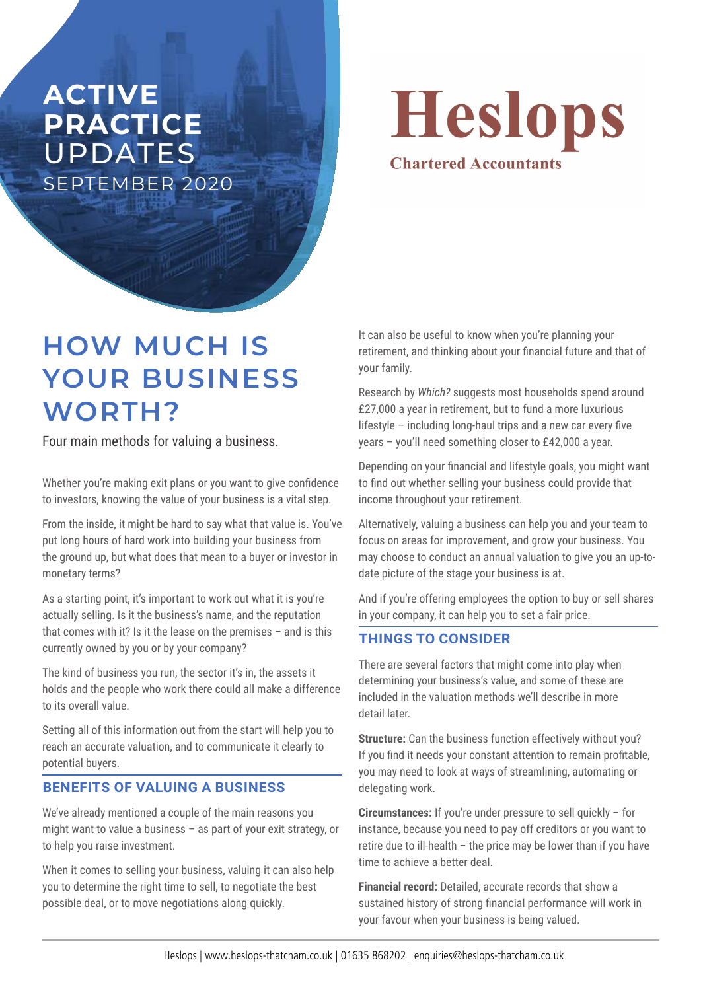## **ACTIVE PRACTICE**  UPDATES SEPTEMBER 2020

Heslops **Chartered Accountants** 

# **HOW MUCH IS YOUR BUSINESS WORTH?**

Four main methods for valuing a business.

Whether you're making exit plans or you want to give confidence to investors, knowing the value of your business is a vital step.

From the inside, it might be hard to say what that value is. You've put long hours of hard work into building your business from the ground up, but what does that mean to a buyer or investor in monetary terms?

As a starting point, it's important to work out what it is you're actually selling. Is it the business's name, and the reputation that comes with it? Is it the lease on the premises – and is this currently owned by you or by your company?

The kind of business you run, the sector it's in, the assets it holds and the people who work there could all make a difference to its overall value.

Setting all of this information out from the start will help you to reach an accurate valuation, and to communicate it clearly to potential buyers.

### **BENEFITS OF VALUING A BUSINESS**

We've already mentioned a couple of the main reasons you might want to value a business – as part of your exit strategy, or to help you raise investment.

When it comes to selling your business, valuing it can also help you to determine the right time to sell, to negotiate the best possible deal, or to move negotiations along quickly.

It can also be useful to know when you're planning your retirement, and thinking about your financial future and that of your family.

Research by *Which?* suggests most households spend around £27,000 a year in retirement, but to fund a more luxurious lifestyle – including long-haul trips and a new car every five years – you'll need something closer to £42,000 a year.

Depending on your financial and lifestyle goals, you might want to find out whether selling your business could provide that income throughout your retirement.

Alternatively, valuing a business can help you and your team to focus on areas for improvement, and grow your business. You may choose to conduct an annual valuation to give you an up-todate picture of the stage your business is at.

And if you're offering employees the option to buy or sell shares in your company, it can help you to set a fair price.

#### **THINGS TO CONSIDER**

There are several factors that might come into play when determining your business's value, and some of these are included in the valuation methods we'll describe in more detail later.

**Structure:** Can the business function effectively without you? If you find it needs your constant attention to remain profitable, you may need to look at ways of streamlining, automating or delegating work.

**Circumstances:** If you're under pressure to sell quickly – for instance, because you need to pay off creditors or you want to retire due to ill-health – the price may be lower than if you have time to achieve a better deal.

**Financial record:** Detailed, accurate records that show a sustained history of strong financial performance will work in your favour when your business is being valued.